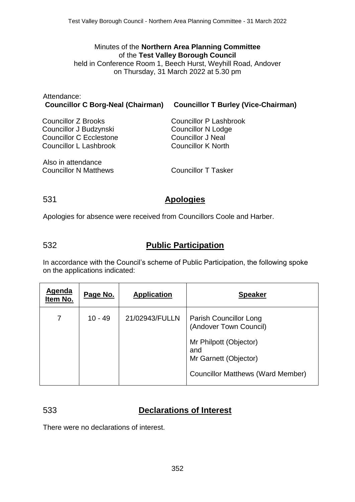### Minutes of the **Northern Area Planning Committee** of the **Test Valley Borough Council** held in Conference Room 1, Beech Hurst, Weyhill Road, Andover on Thursday, 31 March 2022 at 5.30 pm

| Attendance:            | Councillor C Borg-Neal (Chairman) Councillor T Burley (Vice-Chairman) |
|------------------------|-----------------------------------------------------------------------|
| Councillor Z Brooks    | Councillor P Lashbrook                                                |
| Councillor J Budzynski | Councillor N Lodge                                                    |

Councillor J Budzynski Councillor C Ecclestone Councillor L Lashbrook

Councillor In Louge Councillor J Neal Councillor K North

Also in attendance Councillor N Matthews Councillor T Tasker

# 531 **Apologies**

Apologies for absence were received from Councillors Coole and Harber.

# 532 **Public Participation**

In accordance with the Council's scheme of Public Participation, the following spoke on the applications indicated:

| Agenda<br>Item No. | Page No.  | <b>Application</b> | <b>Speaker</b>                                                                                                                                         |
|--------------------|-----------|--------------------|--------------------------------------------------------------------------------------------------------------------------------------------------------|
|                    | $10 - 49$ | 21/02943/FULLN     | Parish Councillor Long<br>(Andover Town Council)<br>Mr Philpott (Objector)<br>and<br>Mr Garnett (Objector)<br><b>Councillor Matthews (Ward Member)</b> |

# 533 **Declarations of Interest**

There were no declarations of interest.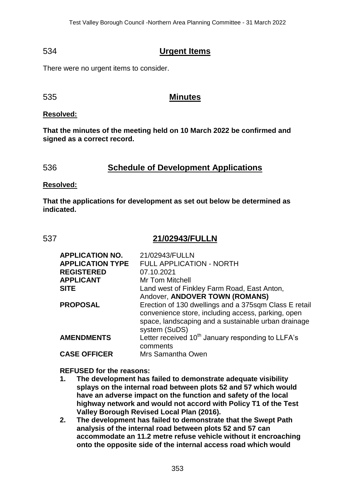# 534 **Urgent Items**

There were no urgent items to consider.

535 **Minutes**

### **Resolved:**

**That the minutes of the meeting held on 10 March 2022 be confirmed and signed as a correct record.**

# 536 **Schedule of Development Applications**

#### **Resolved:**

**That the applications for development as set out below be determined as indicated.**

## 537 **21/02943/FULLN**

| <b>APPLICATION NO.</b>  | 21/02943/FULLN                                                                                                                                                                      |
|-------------------------|-------------------------------------------------------------------------------------------------------------------------------------------------------------------------------------|
| <b>APPLICATION TYPE</b> | <b>FULL APPLICATION - NORTH</b>                                                                                                                                                     |
| <b>REGISTERED</b>       | 07.10.2021                                                                                                                                                                          |
| <b>APPLICANT</b>        | Mr Tom Mitchell                                                                                                                                                                     |
| <b>SITE</b>             | Land west of Finkley Farm Road, East Anton,                                                                                                                                         |
|                         | Andover, ANDOVER TOWN (ROMANS)                                                                                                                                                      |
| <b>PROPOSAL</b>         | Erection of 130 dwellings and a 375sqm Class E retail<br>convenience store, including access, parking, open<br>space, landscaping and a sustainable urban drainage<br>system (SuDS) |
| <b>AMENDMENTS</b>       | Letter received 10 <sup>th</sup> January responding to LLFA's<br>comments                                                                                                           |
| <b>CASE OFFICER</b>     | Mrs Samantha Owen                                                                                                                                                                   |

#### **REFUSED for the reasons:**

- **1. The development has failed to demonstrate adequate visibility splays on the internal road between plots 52 and 57 which would have an adverse impact on the function and safety of the local highway network and would not accord with Policy T1 of the Test Valley Borough Revised Local Plan (2016).**
- **2. The development has failed to demonstrate that the Swept Path analysis of the internal road between plots 52 and 57 can accommodate an 11.2 metre refuse vehicle without it encroaching onto the opposite side of the internal access road which would**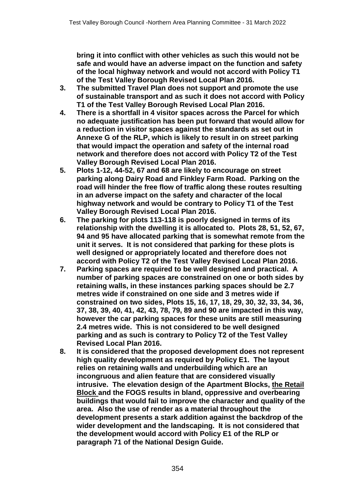**bring it into conflict with other vehicles as such this would not be safe and would have an adverse impact on the function and safety of the local highway network and would not accord with Policy T1 of the Test Valley Borough Revised Local Plan 2016.**

- **3. The submitted Travel Plan does not support and promote the use of sustainable transport and as such it does not accord with Policy T1 of the Test Valley Borough Revised Local Plan 2016.**
- **4. There is a shortfall in 4 visitor spaces across the Parcel for which no adequate justification has been put forward that would allow for a reduction in visitor spaces against the standards as set out in Annexe G of the RLP, which is likely to result in on street parking that would impact the operation and safety of the internal road network and therefore does not accord with Policy T2 of the Test Valley Borough Revised Local Plan 2016.**
- **5. Plots 1-12, 44-52, 67 and 68 are likely to encourage on street parking along Dairy Road and Finkley Farm Road. Parking on the road will hinder the free flow of traffic along these routes resulting in an adverse impact on the safety and character of the local highway network and would be contrary to Policy T1 of the Test Valley Borough Revised Local Plan 2016.**
- **6. The parking for plots 113-118 is poorly designed in terms of its relationship with the dwelling it is allocated to. Plots 28, 51, 52, 67, 94 and 95 have allocated parking that is somewhat remote from the unit it serves. It is not considered that parking for these plots is well designed or appropriately located and therefore does not accord with Policy T2 of the Test Valley Revised Local Plan 2016.**
- **7. Parking spaces are required to be well designed and practical. A number of parking spaces are constrained on one or both sides by retaining walls, in these instances parking spaces should be 2.7 metres wide if constrained on one side and 3 metres wide if constrained on two sides, Plots 15, 16, 17, 18, 29, 30, 32, 33, 34, 36, 37, 38, 39, 40, 41, 42, 43, 78, 79, 89 and 90 are impacted in this way, however the car parking spaces for these units are still measuring 2.4 metres wide. This is not considered to be well designed parking and as such is contrary to Policy T2 of the Test Valley Revised Local Plan 2016.**
- **8. It is considered that the proposed development does not represent high quality development as required by Policy E1. The layout relies on retaining walls and underbuilding which are an incongruous and alien feature that are considered visually intrusive. The elevation design of the Apartment Blocks, the Retail Block and the FOGS results in bland, oppressive and overbearing buildings that would fail to improve the character and quality of the area. Also the use of render as a material throughout the development presents a stark addition against the backdrop of the wider development and the landscaping. It is not considered that the development would accord with Policy E1 of the RLP or paragraph 71 of the National Design Guide.**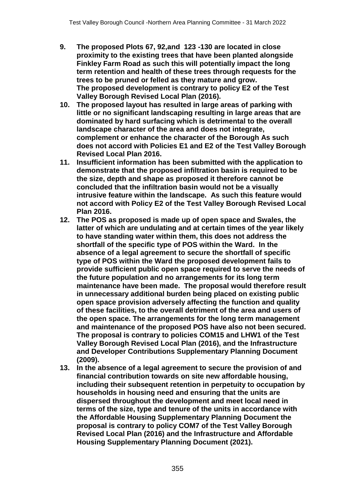- **9. The proposed Plots 67, 92,and 123 -130 are located in close proximity to the existing trees that have been planted alongside Finkley Farm Road as such this will potentially impact the long term retention and health of these trees through requests for the trees to be pruned or felled as they mature and grow. The proposed development is contrary to policy E2 of the Test Valley Borough Revised Local Plan (2016).**
- **10. The proposed layout has resulted in large areas of parking with little or no significant landscaping resulting in large areas that are dominated by hard surfacing which is detrimental to the overall landscape character of the area and does not integrate, complement or enhance the character of the Borough As such does not accord with Policies E1 and E2 of the Test Valley Borough Revised Local Plan 2016.**
- **11. Insufficient information has been submitted with the application to demonstrate that the proposed infiltration basin is required to be the size, depth and shape as proposed it therefore cannot be concluded that the infiltration basin would not be a visually intrusive feature within the landscape. As such this feature would not accord with Policy E2 of the Test Valley Borough Revised Local Plan 2016.**
- **12. The POS as proposed is made up of open space and Swales, the latter of which are undulating and at certain times of the year likely to have standing water within them, this does not address the shortfall of the specific type of POS within the Ward. In the absence of a legal agreement to secure the shortfall of specific type of POS within the Ward the proposed development fails to provide sufficient public open space required to serve the needs of the future population and no arrangements for its long term maintenance have been made. The proposal would therefore result in unnecessary additional burden being placed on existing public open space provision adversely affecting the function and quality of these facilities, to the overall detriment of the area and users of the open space. The arrangements for the long term management and maintenance of the proposed POS have also not been secured. The proposal is contrary to policies COM15 and LHW1 of the Test Valley Borough Revised Local Plan (2016), and the Infrastructure and Developer Contributions Supplementary Planning Document (2009).**
- **13. In the absence of a legal agreement to secure the provision of and financial contribution towards on site new affordable housing, including their subsequent retention in perpetuity to occupation by households in housing need and ensuring that the units are dispersed throughout the development and meet local need in terms of the size, type and tenure of the units in accordance with the Affordable Housing Supplementary Planning Document the proposal is contrary to policy COM7 of the Test Valley Borough Revised Local Plan (2016) and the Infrastructure and Affordable Housing Supplementary Planning Document (2021).**